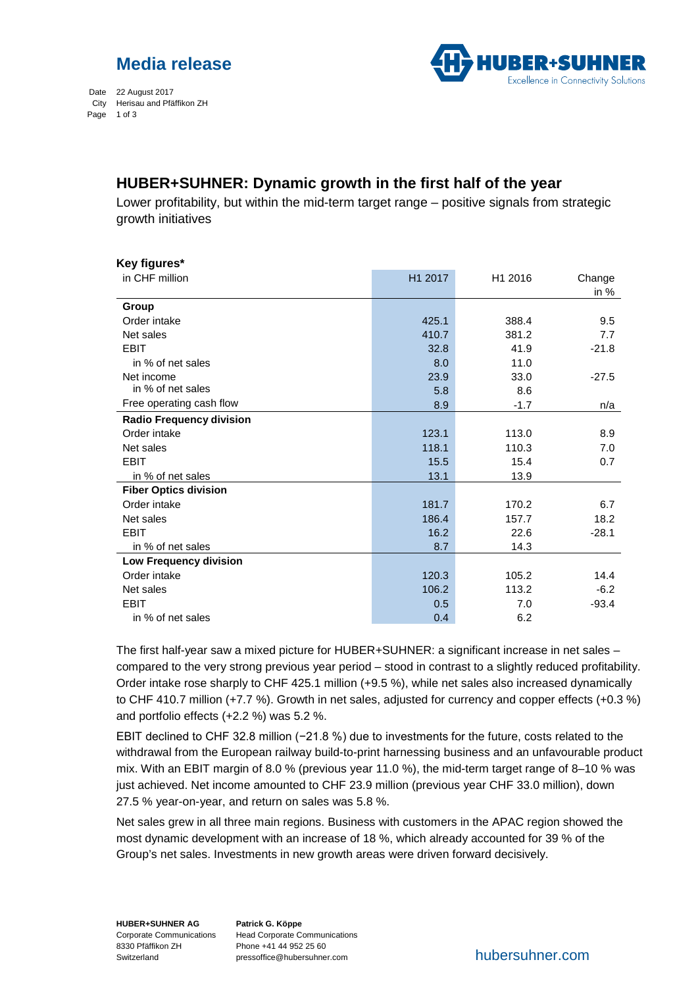



Date 22 August 2017 City Herisau and Pfäffikon ZH Page 1 of 3

## **HUBER+SUHNER: Dynamic growth in the first half of the year**

Lower profitability, but within the mid-term target range – positive signals from strategic growth initiatives

| Key figures*                    |         |         |         |
|---------------------------------|---------|---------|---------|
| in CHF million                  | H1 2017 | H1 2016 | Change  |
|                                 |         |         | in $%$  |
| Group                           |         |         |         |
| Order intake                    | 425.1   | 388.4   | 9.5     |
| Net sales                       | 410.7   | 381.2   | 7.7     |
| <b>EBIT</b>                     | 32.8    | 41.9    | $-21.8$ |
| in % of net sales               | 8.0     | 11.0    |         |
| Net income                      | 23.9    | 33.0    | $-27.5$ |
| in % of net sales               | 5.8     | 8.6     |         |
| Free operating cash flow        | 8.9     | $-1.7$  | n/a     |
| <b>Radio Frequency division</b> |         |         |         |
| Order intake                    | 123.1   | 113.0   | 8.9     |
| Net sales                       | 118.1   | 110.3   | 7.0     |
| <b>EBIT</b>                     | 15.5    | 15.4    | 0.7     |
| in % of net sales               | 13.1    | 13.9    |         |
| <b>Fiber Optics division</b>    |         |         |         |
| Order intake                    | 181.7   | 170.2   | 6.7     |
| Net sales                       | 186.4   | 157.7   | 18.2    |
| <b>EBIT</b>                     | 16.2    | 22.6    | $-28.1$ |
| in % of net sales               | 8.7     | 14.3    |         |
| Low Frequency division          |         |         |         |
| Order intake                    | 120.3   | 105.2   | 14.4    |
| Net sales                       | 106.2   | 113.2   | $-6.2$  |
| <b>EBIT</b>                     | 0.5     | 7.0     | $-93.4$ |
| in % of net sales               | 0.4     | 6.2     |         |

The first half-year saw a mixed picture for HUBER+SUHNER: a significant increase in net sales – compared to the very strong previous year period – stood in contrast to a slightly reduced profitability. Order intake rose sharply to CHF 425.1 million (+9.5 %), while net sales also increased dynamically to CHF 410.7 million (+7.7 %). Growth in net sales, adjusted for currency and copper effects (+0.3 %) and portfolio effects (+2.2 %) was 5.2 %.

EBIT declined to CHF 32.8 million (−21.8 %) due to investments for the future, costs related to the withdrawal from the European railway build-to-print harnessing business and an unfavourable product mix. With an EBIT margin of 8.0 % (previous year 11.0 %), the mid-term target range of 8–10 % was just achieved. Net income amounted to CHF 23.9 million (previous year CHF 33.0 million), down 27.5 % year-on-year, and return on sales was 5.8 %.

Net sales grew in all three main regions. Business with customers in the APAC region showed the most dynamic development with an increase of 18 %, which already accounted for 39 % of the Group's net sales. Investments in new growth areas were driven forward decisively.

**HUBER+SUHNER AG** 8330 Pfäffikon ZH Switzerland

Corporate Communications Head Corporate Communications **Patrick G. Köppe** Phone +41 44 952 25 60 pressoffice@hubersuhner.com hubersuhner.com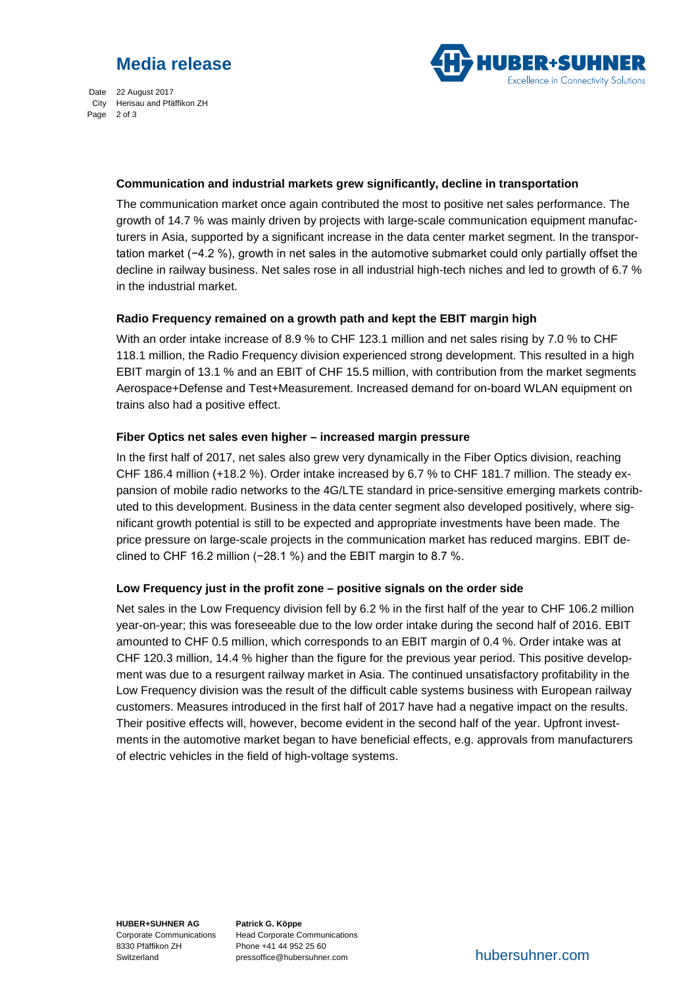



Date 22 August 2017 City Herisau and Pfäffikon ZH Page 2 of 3

#### **Communication and industrial markets grew significantly, decline in transportation**

The communication market once again contributed the most to positive net sales performance. The growth of 14.7 % was mainly driven by projects with large-scale communication equipment manufacturers in Asia, supported by a significant increase in the data center market segment. In the transportation market (−4.2 %), growth in net sales in the automotive submarket could only partially offset the decline in railway business. Net sales rose in all industrial high-tech niches and led to growth of 6.7 % in the industrial market.

### **Radio Frequency remained on a growth path and kept the EBIT margin high**

With an order intake increase of 8.9 % to CHF 123.1 million and net sales rising by 7.0 % to CHF 118.1 million, the Radio Frequency division experienced strong development. This resulted in a high EBIT margin of 13.1 % and an EBIT of CHF 15.5 million, with contribution from the market segments Aerospace+Defense and Test+Measurement. Increased demand for on-board WLAN equipment on trains also had a positive effect.

### **Fiber Optics net sales even higher – increased margin pressure**

In the first half of 2017, net sales also grew very dynamically in the Fiber Optics division, reaching CHF 186.4 million (+18.2 %). Order intake increased by 6.7 % to CHF 181.7 million. The steady expansion of mobile radio networks to the 4G/LTE standard in price-sensitive emerging markets contributed to this development. Business in the data center segment also developed positively, where significant growth potential is still to be expected and appropriate investments have been made. The price pressure on large-scale projects in the communication market has reduced margins. EBIT declined to CHF 16.2 million (−28.1 %) and the EBIT margin to 8.7 %.

### **Low Frequency just in the profit zone – positive signals on the order side**

Net sales in the Low Frequency division fell by 6.2 % in the first half of the year to CHF 106.2 million year-on-year; this was foreseeable due to the low order intake during the second half of 2016. EBIT amounted to CHF 0.5 million, which corresponds to an EBIT margin of 0.4 %. Order intake was at CHF 120.3 million, 14.4 % higher than the figure for the previous year period. This positive development was due to a resurgent railway market in Asia. The continued unsatisfactory profitability in the Low Frequency division was the result of the difficult cable systems business with European railway customers. Measures introduced in the first half of 2017 have had a negative impact on the results. Their positive effects will, however, become evident in the second half of the year. Upfront investments in the automotive market began to have beneficial effects, e.g. approvals from manufacturers of electric vehicles in the field of high-voltage systems.

**HUBER+SUHNER AG** Corporate Communications 8330 Pfäffikon ZH Switzerland

**Patrick G. Köppe** Head Corporate Communications Phone +41 44 952 25 60 pressoffice@hubersuhner.com hubersuhner.com